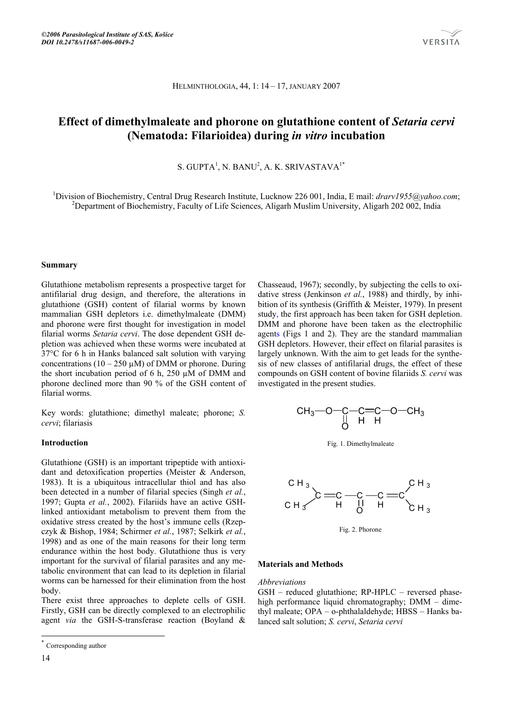

HELMINTHOLOGIA, 44, 1: 14 – 17, JANUARY 2007

# **Effect of dimethylmaleate and phorone on glutathione content of** *Setaria cervi* **(Nematoda: Filarioidea) during** *in vitro* **incubation**

S. GUPTA<sup>1</sup>, N. BANU<sup>2</sup>, A. K. SRIVASTAVA<sup>1\*</sup>

<sup>1</sup>Division of Biochemistry, Central Drug Research Institute, Lucknow 226 001, India, E mail: *drarv1955@yahoo.com*; <sup>2</sup>Doportment of Biochemistry, Feeulty of Life Sciences, Aligarh Muslim University, Aligarh 202,002, Indi <sup>2</sup>Department of Biochemistry, Faculty of Life Sciences, Aligarh Muslim University, Aligarh 202 002, India

#### **Summary**

Glutathione metabolism represents a prospective target for antifilarial drug design, and therefore, the alterations in glutathione (GSH) content of filarial worms by known mammalian GSH depletors i.e. dimethylmaleate (DMM) and phorone were first thought for investigation in model filarial worms *Setaria cervi*. The dose dependent GSH depletion was achieved when these worms were incubated at 37°C for 6 h in Hanks balanced salt solution with varying concentrations  $(10 - 250 \mu M)$  of DMM or phorone. During the short incubation period of 6 h, 250 µM of DMM and phorone declined more than 90 % of the GSH content of filarial worms.

Key words: glutathione; dimethyl maleate; phorone; *S. cervi*; filariasis

#### **Introduction\***

Glutathione (GSH) is an important tripeptide with antioxidant and detoxification properties (Meister & Anderson, 1983). It is a ubiquitous intracellular thiol and has also been detected in a number of filarial species (Singh *et al.*, 1997; Gupta *et al.*, 2002). Filariids have an active GSHlinked antioxidant metabolism to prevent them from the oxidative stress created by the host's immune cells (Rzepczyk & Bishop, 1984; Schirmer *et al.*, 1987; Selkirk *et al.*, 1998) and as one of the main reasons for their long term endurance within the host body. Glutathione thus is very important for the survival of filarial parasites and any metabolic environment that can lead to its depletion in filarial worms can be harnessed for their elimination from the host body.

There exist three approaches to deplete cells of GSH. Firstly, GSH can be directly complexed to an electrophilic agent *via* the GSH-S-transferase reaction (Boyland &

14

l

Chasseaud, 1967); secondly, by subjecting the cells to oxidative stress (Jenkinson *et al.*, 1988) and thirdly, by inhibition of its synthesis (Griffith & Meister, 1979). In present study, the first approach has been taken for GSH depletion. DMM and phorone have been taken as the electrophilic agents (Figs 1 and 2). They are the standard mammalian GSH depletors. However, their effect on filarial parasites is largely unknown. With the aim to get leads for the synthesis of new classes of antifilarial drugs, the effect of these compounds on GSH content of bovine filariids *S. cervi* was investigated in the present studies.

$$
CH_3
$$
—O—C—C=C—O—CH<sub>3</sub>  
  $||$  H H

Fig. 1. Dimethylmaleate



Fig. 2. Phorone

#### **Materials and Methods**

*Abbreviations*

GSH – reduced glutathione; RP-HPLC – reversed phasehigh performance liquid chromatography; DMM – dimethyl maleate; OPA – o-phthalaldehyde; HBSS – Hanks balanced salt solution; *S. cervi*, *Setaria cervi*

Corresponding author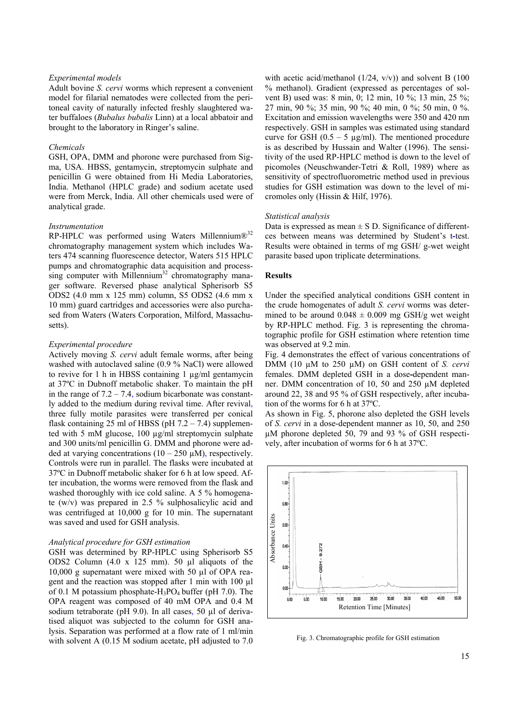## *Experimental models*

Adult bovine *S. cervi* worms which represent a convenient model for filarial nematodes were collected from the peritoneal cavity of naturally infected freshly slaughtered water buffaloes (*Bubalus bubalis* Linn) at a local abbatoir and brought to the laboratory in Ringer's saline.

## *Chemicals*

GSH, OPA, DMM and phorone were purchased from Sigma, USA. HBSS, gentamycin, streptomycin sulphate and penicillin G were obtained from Hi Media Laboratories, India. Methanol (HPLC grade) and sodium acetate used were from Merck, India. All other chemicals used were of analytical grade.

#### *Instrumentation*

RP-HPLC was performed using Waters Millennium $\mathbb{R}^{32}$ chromatography management system which includes Waters 474 scanning fluorescence detector, Waters 515 HPLC pumps and chromatographic data acquisition and process $sing$  computer with Millennium<sup>32</sup> chromatography manager software. Reversed phase analytical Spherisorb S5 ODS2 (4.0 mm x 125 mm) column, S5 ODS2 (4.6 mm x 10 mm) guard cartridges and accessories were also purchased from Waters (Waters Corporation, Milford, Massachusetts).

#### *Experimental procedure*

Actively moving *S. cervi* adult female worms, after being washed with autoclaved saline (0.9 % NaCl) were allowed to revive for 1 h in HBSS containing 1 µg/ml gentamycin at 37ºC in Dubnoff metabolic shaker. To maintain the pH in the range of  $7.2 - 7.4$ , sodium bicarbonate was constantly added to the medium during revival time. After revival, three fully motile parasites were transferred per conical flask containing 25 ml of HBSS (pH  $7.2 - 7.4$ ) supplemented with 5 mM glucose, 100 µg/ml streptomycin sulphate and 300 units/ml penicillin G. DMM and phorone were added at varying concentrations  $(10 - 250 \mu M)$ , respectively. Controls were run in parallel. The flasks were incubated at 37ºC in Dubnoff metabolic shaker for 6 h at low speed. After incubation, the worms were removed from the flask and washed thoroughly with ice cold saline. A 5 % homogenate (w/v) was prepared in 2.5 % sulphosalicylic acid and was centrifuged at 10,000 g for 10 min. The supernatant was saved and used for GSH analysis.

## *Analytical procedure for GSH estimation*

GSH was determined by RP-HPLC using Spherisorb S5 ODS2 Column (4.0 x 125 mm). 50 µl aliquots of the 10,000 g supernatant were mixed with 50 µl of OPA reagent and the reaction was stopped after 1 min with 100 µl of 0.1 M potassium phosphate- $H_3PO_4$  buffer (pH 7.0). The OPA reagent was composed of 40 mM OPA and 0.4 M sodium tetraborate (pH 9.0). In all cases, 50 µl of derivatised aliquot was subjected to the column for GSH analysis. Separation was performed at a flow rate of 1 ml/min with solvent A (0.15 M sodium acetate, pH adjusted to 7.0

with acetic acid/methanol  $(1/24, v/v)$  and solvent B  $(100$ % methanol). Gradient (expressed as percentages of solvent B) used was: 8 min, 0; 12 min, 10 %; 13 min, 25 %; 27 min, 90 %; 35 min, 90 %; 40 min, 0 %; 50 min, 0 %. Excitation and emission wavelengths were 350 and 420 nm respectively. GSH in samples was estimated using standard curve for GSH  $(0.5 - 5 \mu g/ml)$ . The mentioned procedure is as described by Hussain and Walter (1996). The sensitivity of the used RP-HPLC method is down to the level of picomoles (Neuschwander-Tetri & Roll, 1989) where as sensitivity of spectrofluorometric method used in previous studies for GSH estimation was down to the level of micromoles only (Hissin & Hilf, 1976).

#### *Statistical analysis*

Data is expressed as mean  $\pm S$  D. Significance of differentces between means was determined by Student's t**-**test. Results were obtained in terms of mg GSH/ g-wet weight parasite based upon triplicate determinations.

#### **Results**

Under the specified analytical conditions GSH content in the crude homogenates of adult *S. cervi* worms was determined to be around  $0.048 \pm 0.009$  mg GSH/g wet weight by RP-HPLC method. Fig. 3 is representing the chromatographic profile for GSH estimation where retention time was observed at 9.2 min.

Fig. 4 demonstrates the effect of various concentrations of DMM (10 µM to 250 µM) on GSH content of *S. cervi* females. DMM depleted GSH in a dose**-**dependent manner. DMM concentration of 10, 50 and 250 µM depleted around 22, 38 and 95 % of GSH respectively, after incubation of the worms for 6 h at 37ºC.

As shown in Fig. 5, phorone also depleted the GSH levels of *S. cervi* in a dose-dependent manner as 10, 50, and 250 µM phorone depleted 50, 79 and 93 % of GSH respectively, after incubation of worms for 6 h at 37ºC.



Fig. 3. Chromatographic profile for GSH estimation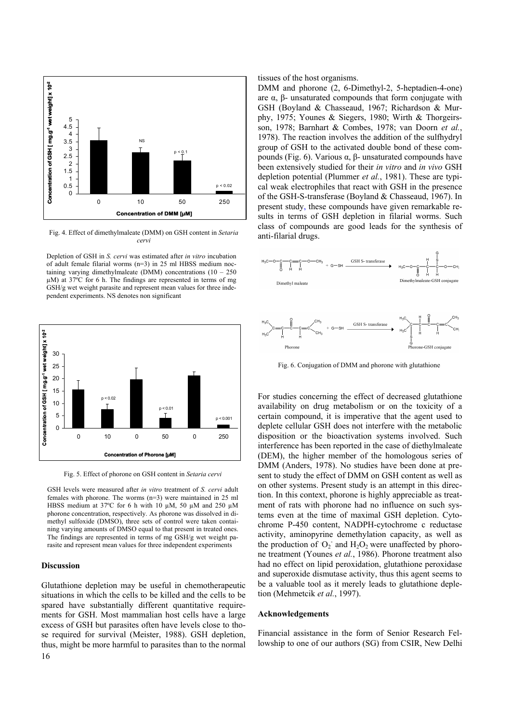

Fig. 4. Effect of dimethylmaleate (DMM) on GSH content in *Setaria cervi* 

Depletion of GSH in *S. cervi* was estimated after *in vitro* incubation of adult female filarial worms (n=3) in 25 ml HBSS medium noctaining varying dimethylmaleate (DMM) concentrations  $(10 - 250)$ µM) at 37ºC for 6 h. The findings are represented in terms of mg GSH/g wet weight parasite and represent mean values for three independent experiments. NS denotes non significant



Fig. 5. Effect of phorone on GSH content in *Setaria cervi* 

GSH levels were measured after *in vitro* treatment of *S. cervi* adult females with phorone. The worms (n=3) were maintained in 25 ml HBSS medium at 37°C for 6 h with 10  $\mu$ M, 50  $\mu$ M and 250  $\mu$ M phorone concentration, respectively. As phorone was dissolved in dimethyl sulfoxide (DMSO), three sets of control were taken containing varying amounts of DMSO equal to that present in treated ones. The findings are represented in terms of mg GSH/g wet weight parasite and represent mean values for three independent experiments

#### **Discussion**

16 Glutathione depletion may be useful in chemotherapeutic situations in which the cells to be killed and the cells to be spared have substantially different quantitative requirements for GSH. Most mammalian host cells have a large excess of GSH but parasites often have levels close to those required for survival (Meister, 1988). GSH depletion, thus, might be more harmful to parasites than to the normal tissues of the host organisms.

DMM and phorone (2, 6-Dimethyl-2, 5-heptadien-4-one) are α, β- unsaturated compounds that form conjugate with GSH (Boyland & Chasseaud, 1967; Richardson & Murphy, 1975; Younes & Siegers, 1980; Wirth & Thorgeirsson, 1978; Barnhart & Combes, 1978; van Doorn *et al.*, 1978). The reaction involves the addition of the sulfhydryl group of GSH to the activated double bond of these compounds (Fig. 6). Various α, β- unsaturated compounds have been extensively studied for their *in vitro* and *in vivo* GSH depletion potential (Plummer *et al.*, 1981). These are typical weak electrophiles that react with GSH in the presence of the GSH-S-transferase (Boyland & Chasseaud, 1967). In present study, these compounds have given remarkable results in terms of GSH depletion in filarial worms. Such class of compounds are good leads for the synthesis of anti-filarial drugs.



Fig. 6. Conjugation of DMM and phorone with glutathione

For studies concerning the effect of decreased glutathione availability on drug metabolism or on the toxicity of a certain compound, it is imperative that the agent used to deplete cellular GSH does not interfere with the metabolic disposition or the bioactivation systems involved. Such interference has been reported in the case of diethylmaleate (DEM), the higher member of the homologous series of DMM (Anders, 1978). No studies have been done at present to study the effect of DMM on GSH content as well as on other systems. Present study is an attempt in this direction. In this context, phorone is highly appreciable as treatment of rats with phorone had no influence on such systems even at the time of maximal GSH depletion. Cytochrome P-450 content, NADPH-cytochrome c reductase activity, aminopyrine demethylation capacity, as well as the production of  $O_2$  and  $H_2O_2$  were unaffected by phorone treatment (Younes *et al.*, 1986). Phorone treatment also had no effect on lipid peroxidation, glutathione peroxidase and superoxide dismutase activity, thus this agent seems to be a valuable tool as it merely leads to glutathione depletion (Mehmetcik *et al.*, 1997).

#### **Acknowledgements**

Financial assistance in the form of Senior Research Fellowship to one of our authors (SG) from CSIR, New Delhi